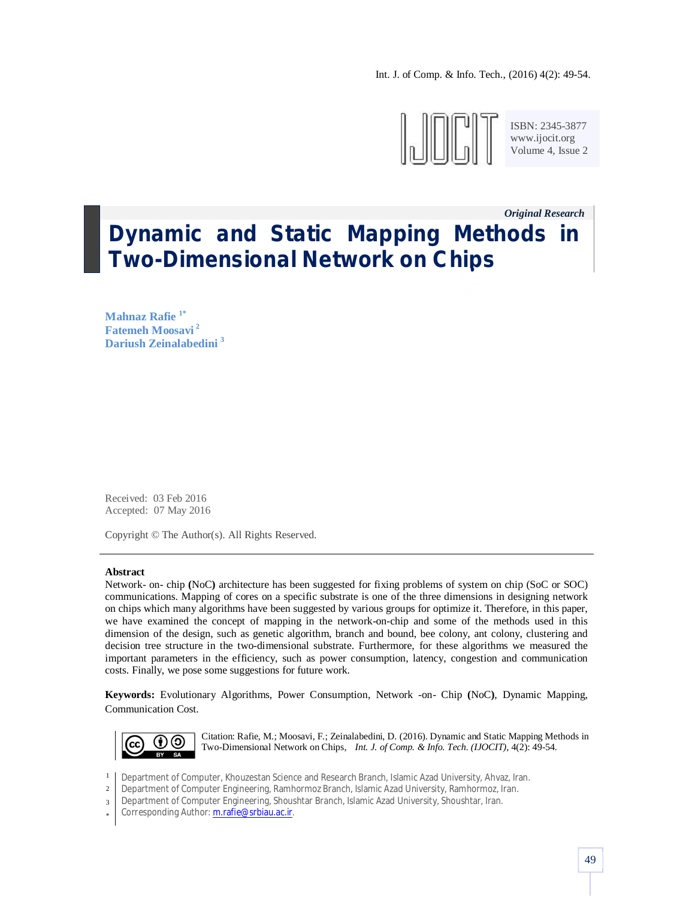Int. J. of Comp. & Info. Tech., (2016) 4(2): 49-54.



ISBN: 2345-3877 www.ijocit.org Volume 4, Issue 2

*Original Research\_\_* **Dynamic and Static Mapping Methods in Two-Dimensional Network on Chips**

**Mahnaz Rafie 1\* Fatemeh Moosavi <sup>2</sup> Dariush Zeinalabedini <sup>3</sup>**

Received: 03 Feb 2016 Accepted: 07 May 2016

Copyright © The Author(s). All Rights Reserved.

#### **Abstract**

Network- on- chip **(**NoC**)** architecture has been suggested for fixing problems of system on chip (SoC or SOC) communications. Mapping of cores on a specific substrate is one of the three dimensions in designing network on chips which many algorithms have been suggested by various groups for optimize it. Therefore, in this paper, we have examined the concept of mapping in the network-on-chip and some of the methods used in this dimension of the design, such as genetic algorithm, branch and bound, bee colony, ant colony, clustering and decision tree structure in the two-dimensional substrate. Furthermore, for these algorithms we measured the important parameters in the efficiency, such as power consumption, latency, congestion and communication costs. Finally, we pose some suggestions for future work.

**Keywords:** Evolutionary Algorithms, Power Consumption, Network -on- Chip **(**NoC**)**, Dynamic Mapping, Communication Cost.



Citation: Rafie, M.; Moosavi, F.; Zeinalabedini, D. (2016). Dynamic and Static Mapping Methods in Two-Dimensional Network on Chips, *Int. J. of Comp. & Info. Tech. (IJOCIT)*, 4(2): 49-54.

- 1 Department of Computer, Khouzestan Science and Research Branch, Islamic Azad University, Ahvaz, Iran.
- 2 Department of Computer Engineering, Ramhormoz Branch, Islamic Azad University, Ramhormoz, Iran.
- 3 Department of Computer Engineering, Shoushtar Branch, Islamic Azad University, Shoushtar, Iran.
- \* Corresponding Author: m.rafie@srbiau.ac.ir.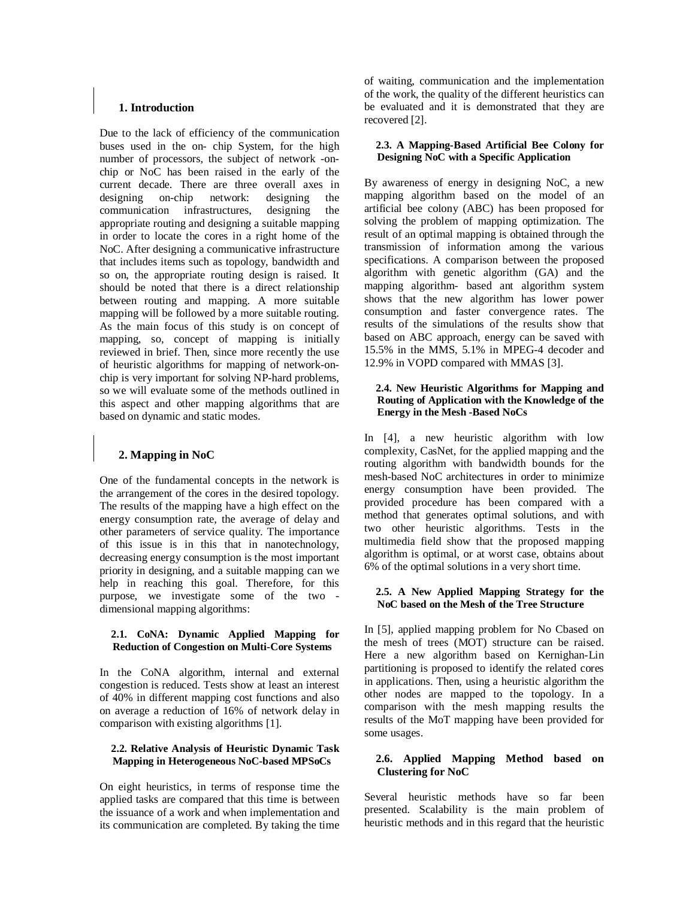### **1. Introduction**

Due to the lack of efficiency of the communication buses used in the on- chip System, for the high number of processors, the subject of network -onchip or NoC has been raised in the early of the current decade. There are three overall axes in designing on-chip network: designing the communication infrastructures, designing the appropriate routing and designing a suitable mapping in order to locate the cores in a right home of the NoC. After designing a communicative infrastructure that includes items such as topology, bandwidth and so on, the appropriate routing design is raised. It should be noted that there is a direct relationship between routing and mapping. A more suitable mapping will be followed by a more suitable routing. As the main focus of this study is on concept of mapping, so, concept of mapping is initially reviewed in brief. Then, since more recently the use of heuristic algorithms for mapping of network-onchip is very important for solving NP-hard problems, so we will evaluate some of the methods outlined in this aspect and other mapping algorithms that are based on dynamic and static modes.

# **2. Mapping in NoC**

One of the fundamental concepts in the network is the arrangement of the cores in the desired topology. The results of the mapping have a high effect on the energy consumption rate, the average of delay and other parameters of service quality. The importance of this issue is in this that in nanotechnology, decreasing energy consumption is the most important priority in designing, and a suitable mapping can we help in reaching this goal. Therefore, for this purpose, we investigate some of the two dimensional mapping algorithms:

### **2.1. CoNA: Dynamic Applied Mapping for Reduction of Congestion on Multi-Core Systems**

In the CoNA algorithm, internal and external congestion is reduced. Tests show at least an interest of 40% in different mapping cost functions and also on average a reduction of 16% of network delay in comparison with existing algorithms [1].

## **2.2. Relative Analysis of Heuristic Dynamic Task Mapping in Heterogeneous NoC-based MPSoCs**

On eight heuristics, in terms of response time the applied tasks are compared that this time is between the issuance of a work and when implementation and its communication are completed. By taking the time of waiting, communication and the implementation of the work, the quality of the different heuristics can be evaluated and it is demonstrated that they are recovered [2].

#### **2.3. A Mapping-Based Artificial Bee Colony for Designing NoC with a Specific Application**

By awareness of energy in designing NoC, a new mapping algorithm based on the model of an artificial bee colony (ABC) has been proposed for solving the problem of mapping optimization. The result of an optimal mapping is obtained through the transmission of information among the various specifications. A comparison between the proposed algorithm with genetic algorithm (GA) and the mapping algorithm- based ant algorithm system shows that the new algorithm has lower power consumption and faster convergence rates. The results of the simulations of the results show that based on ABC approach, energy can be saved with 15.5% in the MMS, 5.1% in MPEG-4 decoder and 12.9% in VOPD compared with MMAS [3].

#### **2.4. New Heuristic Algorithms for Mapping and Routing of Application with the Knowledge of the Energy in the Mesh -Based NoCs**

In [4], a new heuristic algorithm with low complexity, CasNet, for the applied mapping and the routing algorithm with bandwidth bounds for the mesh-based NoC architectures in order to minimize energy consumption have been provided. The provided procedure has been compared with a method that generates optimal solutions, and with two other heuristic algorithms. Tests in the multimedia field show that the proposed mapping algorithm is optimal, or at worst case, obtains about 6% of the optimal solutions in a very short time.

### **2.5. A New Applied Mapping Strategy for the NoC based on the Mesh of the Tree Structure**

In [5], applied mapping problem for No Cbased on the mesh of trees (MOT) structure can be raised. Here a new algorithm based on Kernighan-Lin partitioning is proposed to identify the related cores in applications. Then, using a heuristic algorithm the other nodes are mapped to the topology. In a comparison with the mesh mapping results the results of the MoT mapping have been provided for some usages.

## **2.6. Applied Mapping Method based on Clustering for NoC**

Several heuristic methods have so far been presented. Scalability is the main problem of heuristic methods and in this regard that the heuristic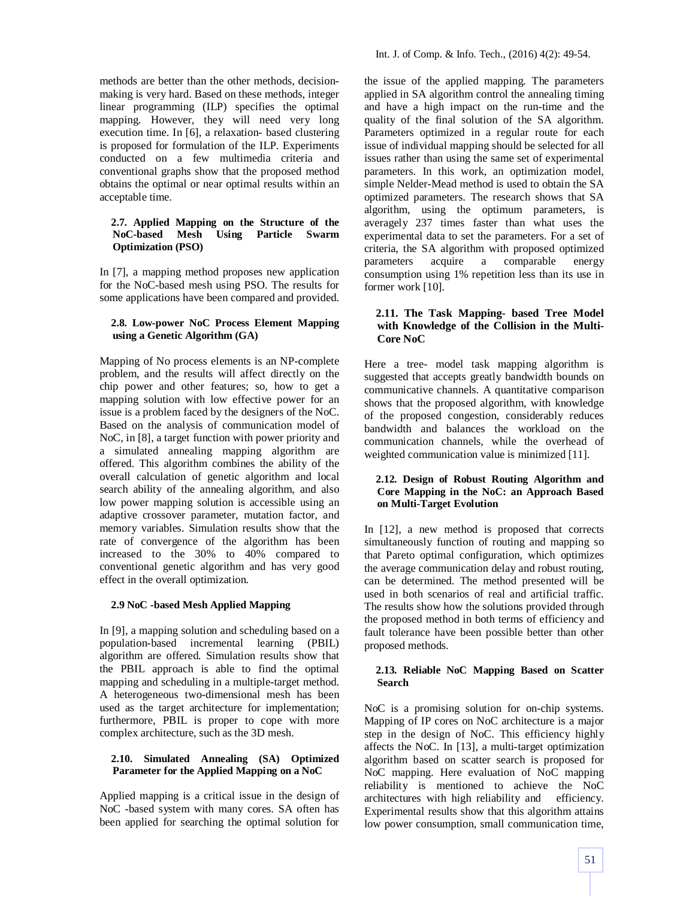methods are better than the other methods, decisionmaking is very hard. Based on these methods, integer linear programming (ILP) specifies the optimal mapping. However, they will need very long execution time. In [6], a relaxation- based clustering is proposed for formulation of the ILP. Experiments conducted on a few multimedia criteria and conventional graphs show that the proposed method obtains the optimal or near optimal results within an acceptable time.

#### **2.7. Applied Mapping on the Structure of the NoC-based Mesh Using Particle Swarm Optimization (PSO)**

In [7], a mapping method proposes new application for the NoC-based mesh using PSO. The results for some applications have been compared and provided.

## **2.8. Low-power NoC Process Element Mapping using a Genetic Algorithm (GA)**

Mapping of No process elements is an NP-complete problem, and the results will affect directly on the chip power and other features; so, how to get a mapping solution with low effective power for an issue is a problem faced by the designers of the NoC. Based on the analysis of communication model of NoC, in [8], a target function with power priority and a simulated annealing mapping algorithm are offered. This algorithm combines the ability of the overall calculation of genetic algorithm and local search ability of the annealing algorithm, and also low power mapping solution is accessible using an adaptive crossover parameter, mutation factor, and memory variables. Simulation results show that the rate of convergence of the algorithm has been increased to the 30% to 40% compared to conventional genetic algorithm and has very good effect in the overall optimization.

# **2.9 NoC -based Mesh Applied Mapping**

In [9], a mapping solution and scheduling based on a population-based incremental learning (PBIL) algorithm are offered. Simulation results show that the PBIL approach is able to find the optimal mapping and scheduling in a multiple-target method. A heterogeneous two-dimensional mesh has been used as the target architecture for implementation; furthermore, PBIL is proper to cope with more complex architecture, such as the 3D mesh.

## **2.10. Simulated Annealing (SA) Optimized Parameter for the Applied Mapping on a NoC**

Applied mapping is a critical issue in the design of NoC -based system with many cores. SA often has been applied for searching the optimal solution for the issue of the applied mapping. The parameters applied in SA algorithm control the annealing timing and have a high impact on the run-time and the quality of the final solution of the SA algorithm. Parameters optimized in a regular route for each issue of individual mapping should be selected for all issues rather than using the same set of experimental parameters. In this work, an optimization model, simple Nelder-Mead method is used to obtain the SA optimized parameters. The research shows that SA algorithm, using the optimum parameters, is averagely 237 times faster than what uses the experimental data to set the parameters. For a set of criteria, the SA algorithm with proposed optimized parameters acquire a comparable energy consumption using 1% repetition less than its use in former work [10].

## **2.11. The Task Mapping- based Tree Model with Knowledge of the Collision in the Multi-Core NoC**

Here a tree- model task mapping algorithm is suggested that accepts greatly bandwidth bounds on communicative channels. A quantitative comparison shows that the proposed algorithm, with knowledge of the proposed congestion, considerably reduces bandwidth and balances the workload on the communication channels, while the overhead of weighted communication value is minimized [11].

### **2.12. Design of Robust Routing Algorithm and Core Mapping in the NoC: an Approach Based on Multi-Target Evolution**

In [12], a new method is proposed that corrects simultaneously function of routing and mapping so that Pareto optimal configuration, which optimizes the average communication delay and robust routing, can be determined. The method presented will be used in both scenarios of real and artificial traffic. The results show how the solutions provided through the proposed method in both terms of efficiency and fault tolerance have been possible better than other proposed methods.

## **2.13. Reliable NoC Mapping Based on Scatter Search**

NoC is a promising solution for on-chip systems. Mapping of IP cores on NoC architecture is a major step in the design of NoC. This efficiency highly affects the NoC. In [13], a multi-target optimization algorithm based on scatter search is proposed for NoC mapping. Here evaluation of NoC mapping reliability is mentioned to achieve the NoC architectures with high reliability and efficiency. Experimental results show that this algorithm attains low power consumption, small communication time,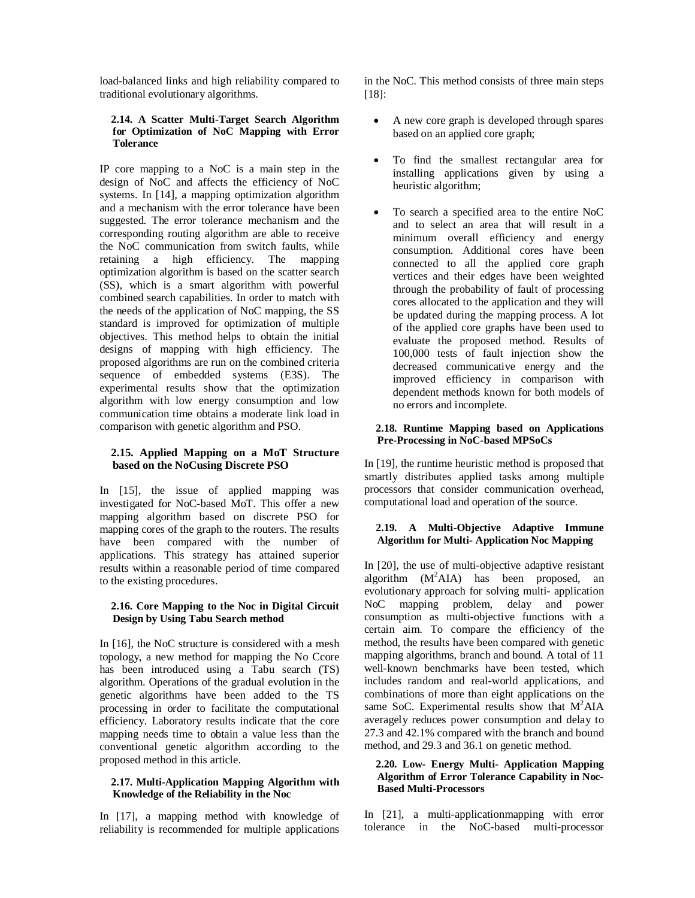load-balanced links and high reliability compared to traditional evolutionary algorithms.

#### **2.14. A Scatter Multi-Target Search Algorithm for Optimization of NoC Mapping with Error Tolerance**

IP core mapping to a NoC is a main step in the design of NoC and affects the efficiency of NoC systems. In [14], a mapping optimization algorithm and a mechanism with the error tolerance have been suggested. The error tolerance mechanism and the corresponding routing algorithm are able to receive the NoC communication from switch faults, while retaining a high efficiency. The mapping optimization algorithm is based on the scatter search (SS), which is a smart algorithm with powerful combined search capabilities. In order to match with the needs of the application of NoC mapping, the SS standard is improved for optimization of multiple objectives. This method helps to obtain the initial designs of mapping with high efficiency. The proposed algorithms are run on the combined criteria sequence of embedded systems (E3S). The experimental results show that the optimization algorithm with low energy consumption and low communication time obtains a moderate link load in comparison with genetic algorithm and PSO.

# **2.15. Applied Mapping on a MoT Structure based on the NoCusing Discrete PSO**

In [15], the issue of applied mapping was investigated for NoC-based MoT. This offer a new mapping algorithm based on discrete PSO for mapping cores of the graph to the routers. The results have been compared with the number of applications. This strategy has attained superior results within a reasonable period of time compared to the existing procedures.

## **2.16. Core Mapping to the Noc in Digital Circuit Design by Using Tabu Search method**

In [16], the NoC structure is considered with a mesh topology, a new method for mapping the No Ccore has been introduced using a Tabu search (TS) algorithm. Operations of the gradual evolution in the genetic algorithms have been added to the TS processing in order to facilitate the computational efficiency. Laboratory results indicate that the core mapping needs time to obtain a value less than the conventional genetic algorithm according to the proposed method in this article.

### **2.17. Multi-Application Mapping Algorithm with Knowledge of the Reliability in the Noc**

In [17], a mapping method with knowledge of reliability is recommended for multiple applications in the NoC. This method consists of three main steps [18]:

- A new core graph is developed through spares based on an applied core graph;
- To find the smallest rectangular area for installing applications given by using a heuristic algorithm;
- To search a specified area to the entire NoC and to select an area that will result in a minimum overall efficiency and energy consumption. Additional cores have been connected to all the applied core graph vertices and their edges have been weighted through the probability of fault of processing cores allocated to the application and they will be updated during the mapping process. A lot of the applied core graphs have been used to evaluate the proposed method. Results of 100,000 tests of fault injection show the decreased communicative energy and the improved efficiency in comparison with dependent methods known for both models of no errors and incomplete.

### **2.18. Runtime Mapping based on Applications Pre-Processing in NoC-based MPSoCs**

In [19], the runtime heuristic method is proposed that smartly distributes applied tasks among multiple processors that consider communication overhead, computational load and operation of the source.

## **2.19. A Multi-Objective Adaptive Immune Algorithm for Multi- Application Noc Mapping**

In [20], the use of multi-objective adaptive resistant algorithm  $(M^2AIA)$  has been proposed, an evolutionary approach for solving multi- application NoC mapping problem, delay and power consumption as multi**-**objective functions with a certain aim. To compare the efficiency of the method, the results have been compared with genetic mapping algorithms, branch and bound. A total of 11 well-known benchmarks have been tested, which includes random and real-world applications, and combinations of more than eight applications on the same SoC. Experimental results show that  $M^2 AIA$ averagely reduces power consumption and delay to 27.3 and 42.1% compared with the branch and bound method, and 29.3 and 36.1 on genetic method.

#### **2.20. Low- Energy Multi- Application Mapping Algorithm of Error Tolerance Capability in Noc-Based Multi-Processors**

In [21], a multi-applicationmapping with error tolerance in the NoC-based multi-processor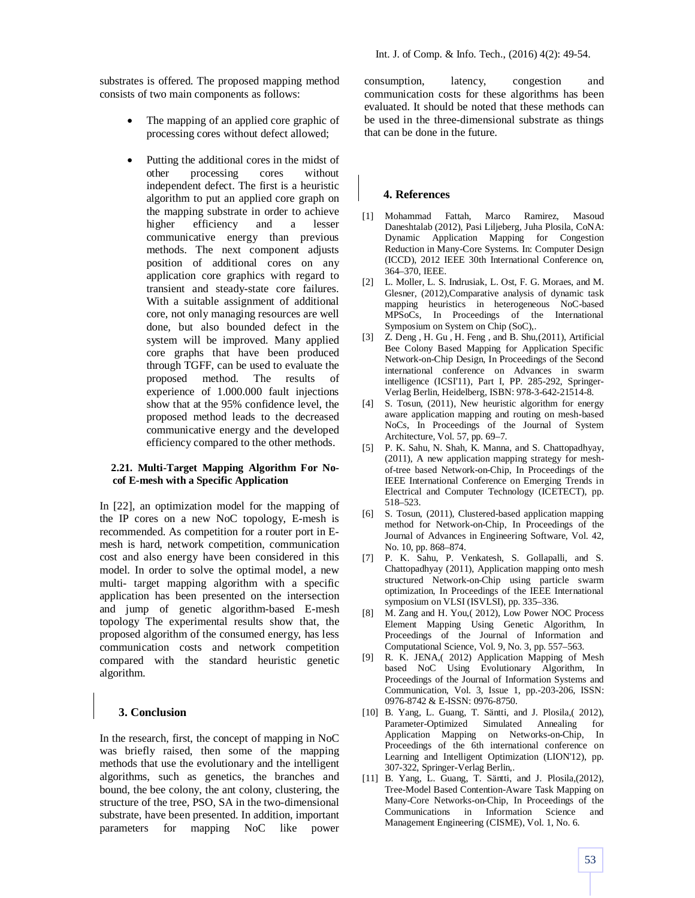substrates is offered. The proposed mapping method consists of two main components as follows:

- The mapping of an applied core graphic of processing cores without defect allowed;
- Putting the additional cores in the midst of other processing cores without independent defect. The first is a heuristic algorithm to put an applied core graph on the mapping substrate in order to achieve higher efficiency and a lesser communicative energy than previous methods. The next component adjusts position of additional cores on any application core graphics with regard to transient and steady-state core failures. With a suitable assignment of additional core, not only managing resources are well done, but also bounded defect in the system will be improved. Many applied core graphs that have been produced through TGFF, can be used to evaluate the proposed method. The results of experience of 1.000.000 fault injections show that at the 95% confidence level, the proposed method leads to the decreased communicative energy and the developed efficiency compared to the other methods.

#### **2.21. Multi-Target Mapping Algorithm For Nocof E-mesh with a Specific Application**

In [22], an optimization model for the mapping of the IP cores on a new NoC topology, E-mesh is recommended. As competition for a router port in Emesh is hard, network competition, communication cost and also energy have been considered in this model. In order to solve the optimal model, a new multi- target mapping algorithm with a specific application has been presented on the intersection and jump of genetic algorithm-based E-mesh topology The experimental results show that, the proposed algorithm of the consumed energy, has less communication costs and network competition compared with the standard heuristic genetic algorithm.

### **3. Conclusion**

In the research, first, the concept of mapping in NoC was briefly raised, then some of the mapping methods that use the evolutionary and the intelligent algorithms, such as genetics, the branches and bound, the bee colony, the ant colony, clustering, the structure of the tree, PSO, SA in the two-dimensional substrate, have been presented. In addition, important parameters for mapping NoC like power consumption, latency, congestion and communication costs for these algorithms has been evaluated. It should be noted that these methods can be used in the three-dimensional substrate as things that can be done in the future.

#### **4. References**

- [1] Mohammad Fattah, Marco Ramirez, Masoud Daneshtalab (2012), Pasi Liljeberg, Juha Plosila, CoNA: Dynamic Application Mapping for Congestion Reduction in Many-Core Systems. In: Computer Design (ICCD), 2012 IEEE 30th International Conference on, 364–370, IEEE.
- [2] L. Moller, L. S. Indrusiak, L. Ost, F. G. Moraes, and M. Glesner, (2012),Comparative analysis of dynamic task mapping heuristics in heterogeneous NoC-based MPSoCs, In Proceedings of the International Symposium on System on Chip (SoC),.
- [3] Z. Deng , H. Gu , H. Feng , and B. Shu,(2011), Artificial Bee Colony Based Mapping for Application Specific Network-on-Chip Design, In Proceedings of the Second international conference on Advances in swarm intelligence (ICSI'11), Part I, PP. 285-292, Springer-Verlag Berlin, Heidelberg, ISBN: 978-3-642-21514-8.
- [4] S. Tosun, (2011), New heuristic algorithm for energy aware application mapping and routing on mesh-based NoCs, In Proceedings of the Journal of System Architecture, Vol. 57, pp. 69–7.
- [5] P. K. Sahu, N. Shah, K. Manna, and S. Chattopadhyay, (2011), A new application mapping strategy for meshof-tree based Network-on-Chip, In Proceedings of the IEEE International Conference on Emerging Trends in Electrical and Computer Technology (ICETECT), pp. 518–523.
- [6] S. Tosun, (2011), Clustered-based application mapping method for Network-on-Chip, In Proceedings of the Journal of Advances in Engineering Software, Vol. 42, No. 10, pp. 868–874.
- [7] P. K. Sahu, P. Venkatesh, S. Gollapalli, and S. Chattopadhyay (2011), Application mapping onto mesh structured Network-on-Chip using particle swarm optimization, In Proceedings of the IEEE International symposium on VLSI (ISVLSI), pp. 335–336.
- [8] M. Zang and H. You,( 2012), Low Power NOC Process Element Mapping Using Genetic Algorithm, In Proceedings of the Journal of Information and Computational Science, Vol. 9, No. 3, pp. 557–563.
- [9] R. K. JENA,( 2012) Application Mapping of Mesh based NoC Using Evolutionary Algorithm, In Proceedings of the Journal of Information Systems and Communication, Vol. 3, Issue 1, pp.-203-206, ISSN: 0976-8742 & E-ISSN: 0976-8750.
- [10] B. Yang, L. Guang, T. Säntti, and J. Plosila, (2012), Parameter-Optimized Simulated Annealing for Application Mapping on Networks-on-Chip, In Proceedings of the 6th international conference on Learning and Intelligent Optimization (LION'12), pp. 307-322, Springer-Verlag Berlin,.
- [11] B. Yang, L. Guang, T. Säntti, and J. Plosila,(2012), Tree-Model Based Contention-Aware Task Mapping on Many-Core Networks-on-Chip, In Proceedings of the Communications in Information Science and Management Engineering (CISME), Vol. 1, No. 6.